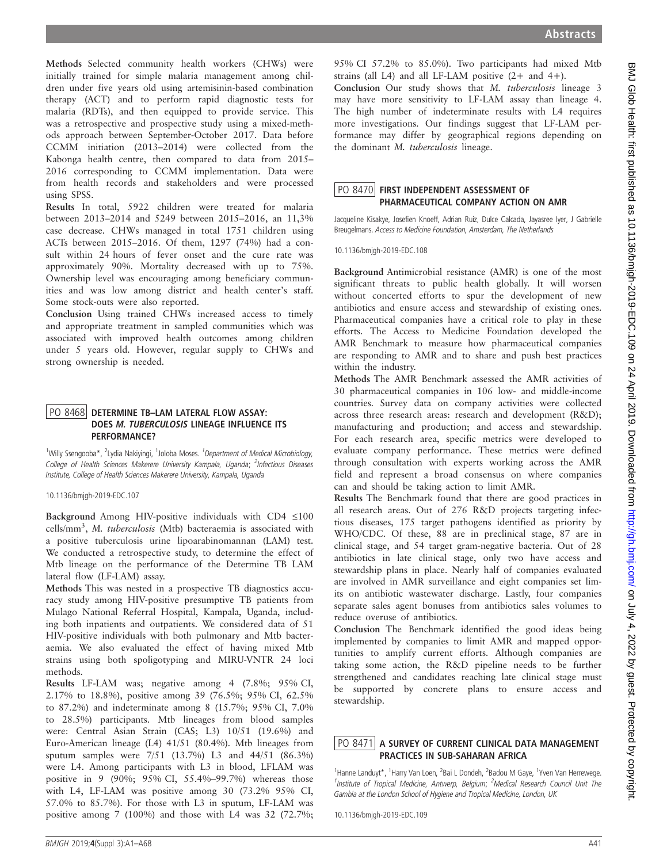Methods Selected community health workers (CHWs) were initially trained for simple malaria management among children under five years old using artemisinin-based combination therapy (ACT) and to perform rapid diagnostic tests for malaria (RDTs), and then equipped to provide service. This was a retrospective and prospective study using a mixed-methods approach between September-October 2017. Data before CCMM initiation (2013–2014) were collected from the Kabonga health centre, then compared to data from 2015– 2016 corresponding to CCMM implementation. Data were from health records and stakeholders and were processed using SPSS.

Results In total, 5922 children were treated for malaria between 2013–2014 and 5249 between 2015–2016, an 11,3% case decrease. CHWs managed in total 1751 children using ACTs between 2015–2016. Of them, 1297 (74%) had a consult within 24 hours of fever onset and the cure rate was approximately 90%. Mortality decreased with up to 75%. Ownership level was encouraging among beneficiary communities and was low among district and health center's staff. Some stock-outs were also reported.

Conclusion Using trained CHWs increased access to timely and appropriate treatment in sampled communities which was associated with improved health outcomes among children under 5 years old. However, regular supply to CHWs and strong ownership is needed.

### PO 8468 DETERMINE TB-LAM LATERAL FLOW ASSAY: DOES *M. TUBERCULOSIS* LINEAGE INFLUENCE ITS<br>PERFORMANCE?

<sup>1</sup>Willy Ssengooba\*, <sup>2</sup>Lydia Nakiyingi, <sup>1</sup>Joloba Moses. <sup>1</sup>Department of Medical Microbiology, College of Health Sciences Makerere University Kampala, Uganda; <sup>2</sup>Infectious Diseases Institute, College of Health Sciences Makerere University, Kampala, Uganda

10.1136/bmjgh-2019-EDC.107

Background Among HIV-positive individuals with CD4  $\leq$ 100 cells/mm<sup>3</sup>, M. tuberculosis (Mtb) bacteraemia is associated with a positive tuberculosis urine lipoarabinomannan (LAM) test. We conducted a retrospective study, to determine the effect of Mtb lineage on the performance of the Determine TB LAM lateral flow (LF-LAM) assay.

Methods This was nested in a prospective TB diagnostics accuracy study among HIV-positive presumptive TB patients from Mulago National Referral Hospital, Kampala, Uganda, including both inpatients and outpatients. We considered data of 51 HIV-positive individuals with both pulmonary and Mtb bacteraemia. We also evaluated the effect of having mixed Mtb strains using both spoligotyping and MIRU-VNTR 24 loci methods.

Results LF-LAM was; negative among 4 (7.8%; 95% CI, 2.17% to 18.8%), positive among 39 (76.5%; 95% CI, 62.5% to 87.2%) and indeterminate among 8 (15.7%; 95% CI, 7.0% to 28.5%) participants. Mtb lineages from blood samples were: Central Asian Strain (CAS; L3) 10/51 (19.6%) and Euro-American lineage (L4) 41/51 (80.4%). Mtb lineages from sputum samples were 7/51 (13.7%) L3 and 44/51 (86.3%) were L4. Among participants with L3 in blood, LFLAM was positive in 9 (90%; 95% CI, 55.4%–99.7%) whereas those with L4, LF-LAM was positive among 30 (73.2% 95% CI, 57.0% to 85.7%). For those with L3 in sputum, LF-LAM was positive among 7 (100%) and those with L4 was 32 (72.7%;

95% CI 57.2% to 85.0%). Two participants had mixed Mtb strains (all L4) and all LF-LAM positive  $(2 +$  and  $4+)$ .

Conclusion Our study shows that M. tuberculosis lineage 3 may have more sensitivity to LF-LAM assay than lineage 4. The high number of indeterminate results with L4 requires more investigations. Our findings suggest that LF-LAM performance may differ by geographical regions depending on the dominant M. tuberculosis lineage.

## PO 8470 FIRST INDEPENDENT ASSESSMENT OF<br>PHARMACEUTICAL COMPANY ACTION ON AMR

Jacqueline Kisakye, Josefien Knoeff, Adrian Ruiz, Dulce Calcada, Jayasree Iyer, J Gabrielle Breugelmans. Access to Medicine Foundation, Amsterdam, The Netherlands

10.1136/bmjgh-2019-EDC.108

Background Antimicrobial resistance (AMR) is one of the most significant threats to public health globally. It will worsen without concerted efforts to spur the development of new antibiotics and ensure access and stewardship of existing ones. Pharmaceutical companies have a critical role to play in these efforts. The Access to Medicine Foundation developed the AMR Benchmark to measure how pharmaceutical companies are responding to AMR and to share and push best practices within the industry.

Methods The AMR Benchmark assessed the AMR activities of 30 pharmaceutical companies in 106 low- and middle-income countries. Survey data on company activities were collected across three research areas: research and development (R&D); manufacturing and production; and access and stewardship. For each research area, specific metrics were developed to evaluate company performance. These metrics were defined through consultation with experts working across the AMR field and represent a broad consensus on where companies can and should be taking action to limit AMR.

Results The Benchmark found that there are good practices in all research areas. Out of 276 R&D projects targeting infectious diseases, 175 target pathogens identified as priority by WHO/CDC. Of these, 88 are in preclinical stage, 87 are in clinical stage, and 54 target gram-negative bacteria. Out of 28 antibiotics in late clinical stage, only two have access and stewardship plans in place. Nearly half of companies evaluated are involved in AMR surveillance and eight companies set limits on antibiotic wastewater discharge. Lastly, four companies separate sales agent bonuses from antibiotics sales volumes to reduce overuse of antibiotics.

Conclusion The Benchmark identified the good ideas being implemented by companies to limit AMR and mapped opportunities to amplify current efforts. Although companies are taking some action, the R&D pipeline needs to be further strengthened and candidates reaching late clinical stage must be supported by concrete plans to ensure access and stewardship.

# $\frac{PO}{PO}$  8471 A SURVEY OF CURRENT CLINICAL DATA MANAGEMENT<br>PRACTICES IN SUB-SAHARAN AFRICA

<sup>1</sup>Hanne Landuyt\*, <sup>1</sup>Harry Van Loen, <sup>2</sup>Bai L Dondeh, <sup>2</sup>Badou M Gaye, <sup>1</sup>Yven Van Herrewege. <sup>1</sup>Institute of Tropical Medicine, Antwerp, Belgium; <sup>2</sup>Medical Research Council Unit The Gambia at the London School of Hygiene and Tropical Medicine, London, UK

10.1136/bmjgh-2019-EDC.109